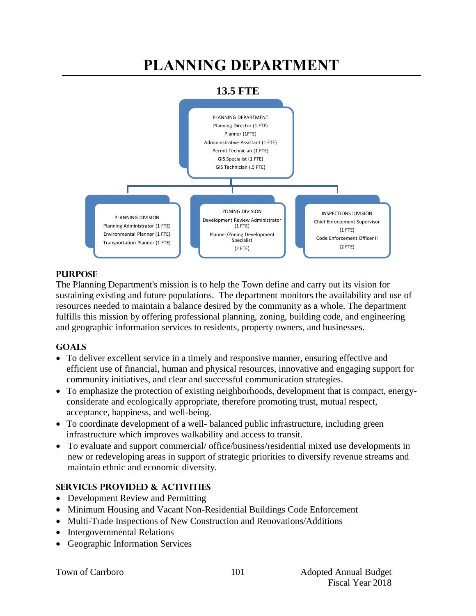# **PLANNING DEPARTMENT**





### **PURPOSE**

The Planning Department's mission is to help the Town define and carry out its vision for sustaining existing and future populations. The department monitors the availability and use of resources needed to maintain a balance desired by the community as a whole. The department fulfills this mission by offering professional planning, zoning, building code, and engineering and geographic information services to residents, property owners, and businesses.

#### **GOALS**

- To deliver excellent service in a timely and responsive manner, ensuring effective and efficient use of financial, human and physical resources, innovative and engaging support for community initiatives, and clear and successful communication strategies.
- To emphasize the protection of existing neighborhoods, development that is compact, energyconsiderate and ecologically appropriate, therefore promoting trust, mutual respect, acceptance, happiness, and well-being.
- To coordinate development of a well- balanced public infrastructure, including green infrastructure which improves walkability and access to transit.
- To evaluate and support commercial/ office/business/residential mixed use developments in new or redeveloping areas in support of strategic priorities to diversify revenue streams and maintain ethnic and economic diversity.

#### **SERVICES PROVIDED & ACTIVITIES**

- Development Review and Permitting
- Minimum Housing and Vacant Non-Residential Buildings Code Enforcement
- Multi-Trade Inspections of New Construction and Renovations/Additions
- Intergovernmental Relations
- Geographic Information Services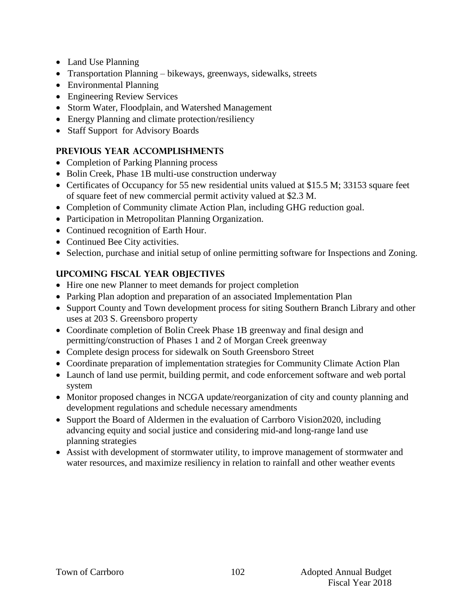- Land Use Planning
- Transportation Planning bikeways, greenways, sidewalks, streets
- Environmental Planning
- Engineering Review Services
- Storm Water, Floodplain, and Watershed Management
- Energy Planning and climate protection/resiliency
- Staff Support for Advisory Boards

## **PREVIOUS YEAR ACCOMPLISHMENTS**

- Completion of Parking Planning process
- Bolin Creek, Phase 1B multi-use construction underway
- Certificates of Occupancy for 55 new residential units valued at \$15.5 M; 33153 square feet of square feet of new commercial permit activity valued at \$2.3 M.
- Completion of Community climate Action Plan, including GHG reduction goal.
- Participation in Metropolitan Planning Organization.
- Continued recognition of Earth Hour.
- Continued Bee City activities.
- Selection, purchase and initial setup of online permitting software for Inspections and Zoning.

# **UPCOMING FISCAL YEAR OBJECTIVES**

- Hire one new Planner to meet demands for project completion
- Parking Plan adoption and preparation of an associated Implementation Plan
- Support County and Town development process for siting Southern Branch Library and other uses at 203 S. Greensboro property
- Coordinate completion of Bolin Creek Phase 1B greenway and final design and permitting/construction of Phases 1 and 2 of Morgan Creek greenway
- Complete design process for sidewalk on South Greensboro Street
- Coordinate preparation of implementation strategies for Community Climate Action Plan
- Launch of land use permit, building permit, and code enforcement software and web portal system
- Monitor proposed changes in NCGA update/reorganization of city and county planning and development regulations and schedule necessary amendments
- Support the Board of Aldermen in the evaluation of Carrboro Vision2020, including advancing equity and social justice and considering mid-and long-range land use planning strategies
- Assist with development of stormwater utility, to improve management of stormwater and water resources, and maximize resiliency in relation to rainfall and other weather events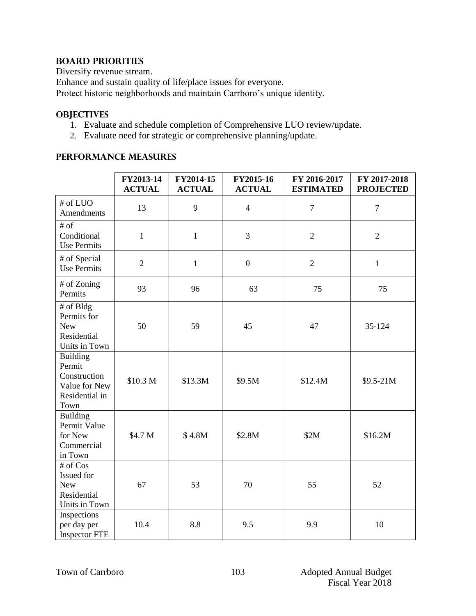### **BOARD PRIORITIES**

Diversify revenue stream. Enhance and sustain quality of life/place issues for everyone.

Protect historic neighborhoods and maintain Carrboro's unique identity.

#### **OBJECTIVES**

- 1. Evaluate and schedule completion of Comprehensive LUO review/update.
- 2. Evaluate need for strategic or comprehensive planning/update.

### **PERFORMANCE MEASURES**

|                                                                                      | FY2013-14<br><b>ACTUAL</b> | FY2014-15<br><b>ACTUAL</b> | FY2015-16<br><b>ACTUAL</b> | FY 2016-2017<br><b>ESTIMATED</b> | FY 2017-2018<br><b>PROJECTED</b> |
|--------------------------------------------------------------------------------------|----------------------------|----------------------------|----------------------------|----------------------------------|----------------------------------|
| # of LUO<br>Amendments                                                               | 13                         | 9                          | $\overline{4}$             | $\boldsymbol{7}$                 | $\overline{7}$                   |
| $#$ of<br>Conditional<br><b>Use Permits</b>                                          | $\mathbf{1}$               | $\mathbf{1}$               | 3                          | $\overline{2}$                   | $\overline{2}$                   |
| # of Special<br><b>Use Permits</b>                                                   | $\overline{2}$             | $\mathbf{1}$               | $\boldsymbol{0}$           | $\overline{2}$                   | $\mathbf{1}$                     |
| # of Zoning<br>Permits                                                               | 93                         | 96                         | 63                         | 75                               | 75                               |
| # of Bldg<br>Permits for<br><b>New</b><br>Residential<br>Units in Town               | 50                         | 59                         | 45                         | 47                               | 35-124                           |
| <b>Building</b><br>Permit<br>Construction<br>Value for New<br>Residential in<br>Town | \$10.3 M                   | \$13.3M                    | \$9.5M                     | \$12.4M                          | \$9.5-21M                        |
| <b>Building</b><br>Permit Value<br>for New<br>Commercial<br>in Town                  | \$4.7 M                    | \$4.8M                     | \$2.8M                     | \$2M                             | \$16.2M                          |
| # of Cos<br>Issued for<br><b>New</b><br>Residential<br>Units in Town                 | 67                         | 53                         | 70                         | 55                               | 52                               |
| Inspections<br>per day per<br><b>Inspector FTE</b>                                   | 10.4                       | 8.8                        | 9.5                        | 9.9                              | 10                               |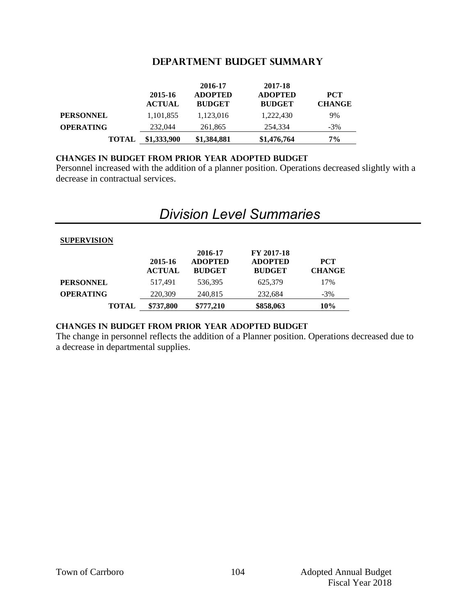#### **DEPARTMENT Budget summary**

|                  | 2015-16<br><b>ACTUAL</b> | 2016-17<br><b>ADOPTED</b><br><b>BUDGET</b> | 2017-18<br><b>ADOPTED</b><br><b>BUDGET</b> | <b>PCT</b><br><b>CHANGE</b> |
|------------------|--------------------------|--------------------------------------------|--------------------------------------------|-----------------------------|
| <b>PERSONNEL</b> | 1,101,855                | 1,123,016                                  | 1,222,430                                  | 9%                          |
| <b>OPERATING</b> | 232,044                  | 261,865                                    | 254.334                                    | $-3\%$                      |
| <b>TOTAL</b>     | \$1,333,900              | \$1,384,881                                | \$1,476,764                                | 7%                          |

#### **CHANGES IN BUDGET from PRIOR YEAR ADOPTED BUDGET**

Personnel increased with the addition of a planner position. Operations decreased slightly with a decrease in contractual services.

# *Division Level Summaries*

| <b>SUPERVISION</b> |                          |                                            |                                               |                             |
|--------------------|--------------------------|--------------------------------------------|-----------------------------------------------|-----------------------------|
|                    | 2015-16<br><b>ACTUAL</b> | 2016-17<br><b>ADOPTED</b><br><b>BUDGET</b> | FY 2017-18<br><b>ADOPTED</b><br><b>BUDGET</b> | <b>PCT</b><br><b>CHANGE</b> |
| <b>PERSONNEL</b>   | 517.491                  | 536.395                                    | 625,379                                       | 17%                         |
| <b>OPERATING</b>   | 220,309                  | 240,815                                    | 232,684                                       | $-3\%$                      |
| <b>TOTAL</b>       | \$737.800                | \$777.210                                  | \$858,063                                     | <b>10%</b>                  |

#### **changes in budget from prior year adopted budget**

The change in personnel reflects the addition of a Planner position. Operations decreased due to a decrease in departmental supplies.